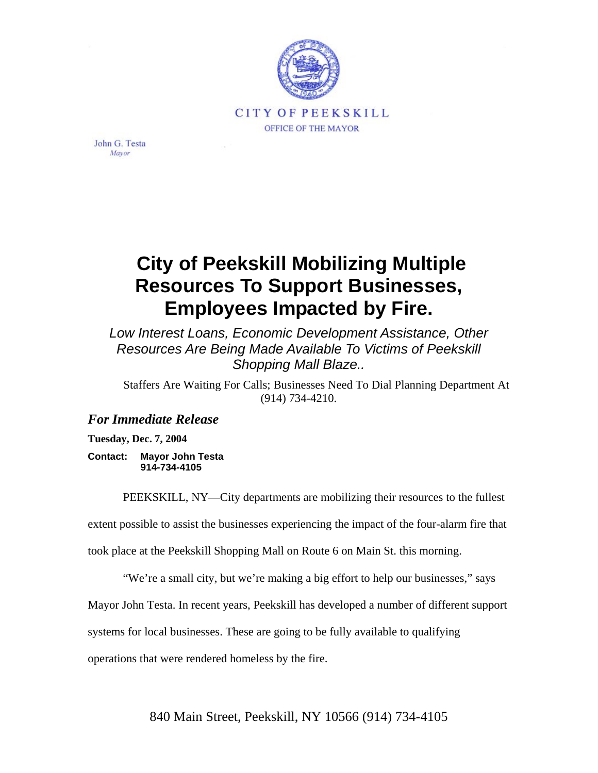

John G. Testa Mayor

## **City of Peekskill Mobilizing Multiple Resources To Support Businesses, Employees Impacted by Fire.**

*Low Interest Loans, Economic Development Assistance, Other Resources Are Being Made Available To Victims of Peekskill Shopping Mall Blaze..*

Staffers Are Waiting For Calls; Businesses Need To Dial Planning Department At (914) 734-4210.

## *For Immediate Release*

**Tuesday, Dec. 7, 2004** 

**Contact: Mayor John Testa 914-734-4105** 

PEEKSKILL, NY—City departments are mobilizing their resources to the fullest

extent possible to assist the businesses experiencing the impact of the four-alarm fire that

took place at the Peekskill Shopping Mall on Route 6 on Main St. this morning.

"We're a small city, but we're making a big effort to help our businesses," says

Mayor John Testa. In recent years, Peekskill has developed a number of different support

systems for local businesses. These are going to be fully available to qualifying

operations that were rendered homeless by the fire.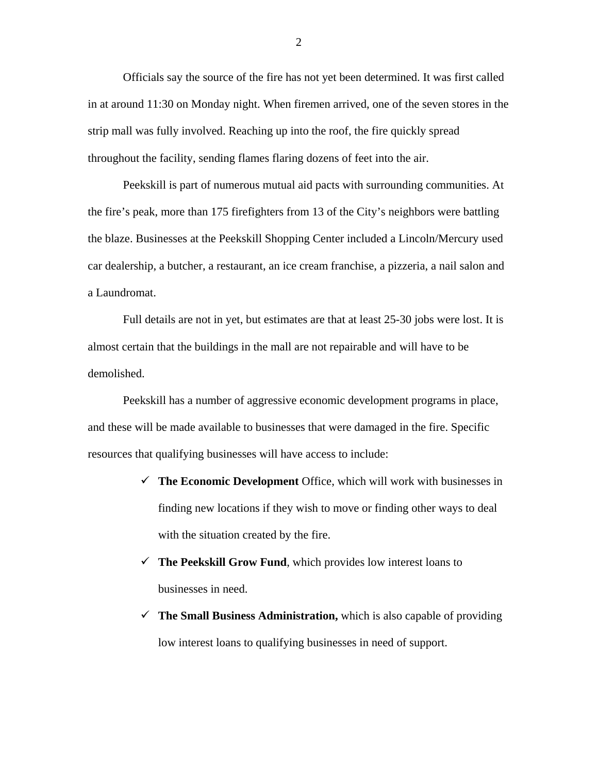Officials say the source of the fire has not yet been determined. It was first called in at around 11:30 on Monday night. When firemen arrived, one of the seven stores in the strip mall was fully involved. Reaching up into the roof, the fire quickly spread throughout the facility, sending flames flaring dozens of feet into the air.

Peekskill is part of numerous mutual aid pacts with surrounding communities. At the fire's peak, more than 175 firefighters from 13 of the City's neighbors were battling the blaze. Businesses at the Peekskill Shopping Center included a Lincoln/Mercury used car dealership, a butcher, a restaurant, an ice cream franchise, a pizzeria, a nail salon and a Laundromat.

Full details are not in yet, but estimates are that at least 25-30 jobs were lost. It is almost certain that the buildings in the mall are not repairable and will have to be demolished.

Peekskill has a number of aggressive economic development programs in place, and these will be made available to businesses that were damaged in the fire. Specific resources that qualifying businesses will have access to include:

- $\checkmark$  The Economic Development Office, which will work with businesses in finding new locations if they wish to move or finding other ways to deal with the situation created by the fire.
- $\checkmark$  The Peekskill Grow Fund, which provides low interest loans to businesses in need.
- $\checkmark$  The Small Business Administration, which is also capable of providing low interest loans to qualifying businesses in need of support.